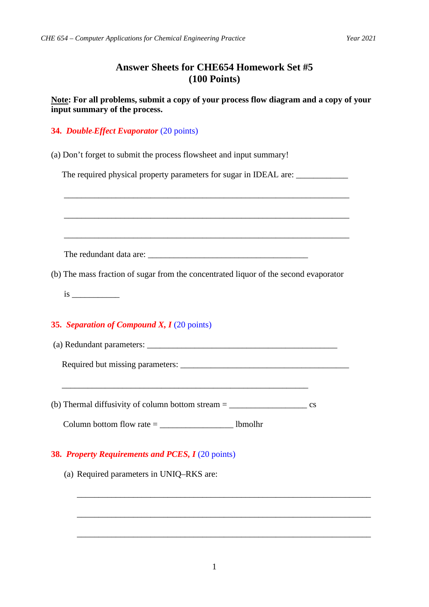## **Answer Sheets for CHE654 Homework Set #5 (100 Points)**

**Note: For all problems, submit a copy of your process flow diagram and a copy of your input summary of the process.**

## **34.** *Double-Effect Evaporator* (20 points)

(a) Don't forget to submit the process flowsheet and input summary!

The required physical property parameters for sugar in IDEAL are: \_\_\_\_\_\_\_\_\_\_\_\_\_\_

| ,我们也不能在这里的人,我们也不能在这里的人,我们也不能在这里的人,我们也不能在这里的人,我们也不能在这里的人,我们也不能在这里的人,我们也不能在这里的人,我们也    |  |
|--------------------------------------------------------------------------------------|--|
|                                                                                      |  |
| (b) The mass fraction of sugar from the concentrated liquor of the second evaporator |  |
|                                                                                      |  |
| 35. Separation of Compound X, $I(20 \text{ points})$                                 |  |
|                                                                                      |  |
|                                                                                      |  |
|                                                                                      |  |
|                                                                                      |  |
| 38. Property Requirements and PCES, I (20 points)                                    |  |

(a) Required parameters in UNIQ–RKS are:

\_\_\_\_\_\_\_\_\_\_\_\_\_\_\_\_\_\_\_\_\_\_\_\_\_\_\_\_\_\_\_\_\_\_\_\_\_\_\_\_\_\_\_\_\_\_\_\_\_\_\_\_\_\_\_\_\_\_\_\_\_\_\_\_\_\_\_\_

\_\_\_\_\_\_\_\_\_\_\_\_\_\_\_\_\_\_\_\_\_\_\_\_\_\_\_\_\_\_\_\_\_\_\_\_\_\_\_\_\_\_\_\_\_\_\_\_\_\_\_\_\_\_\_\_\_\_\_\_\_\_\_\_\_\_\_\_

\_\_\_\_\_\_\_\_\_\_\_\_\_\_\_\_\_\_\_\_\_\_\_\_\_\_\_\_\_\_\_\_\_\_\_\_\_\_\_\_\_\_\_\_\_\_\_\_\_\_\_\_\_\_\_\_\_\_\_\_\_\_\_\_\_\_\_\_